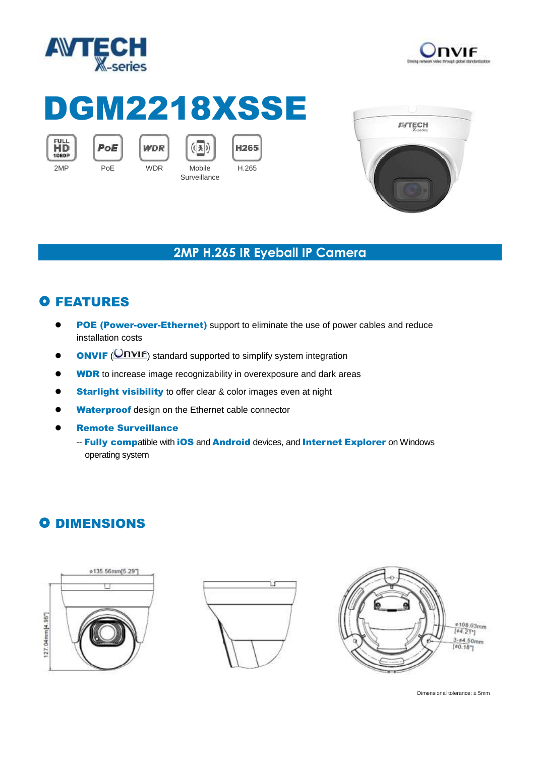



# DGM2218XSSE









**Surveillance** H.265



### **2MP H.265 IR Eyeball IP Camera**

## **O FEATURES**

- **POE (Power-over-Ethernet)** support to eliminate the use of power cables and reduce installation costs
- **ONVIF** (**ONVIF**) standard supported to simplify system integration
- **WDR** to increase image recognizability in overexposure and dark areas
- **Starlight visibility** to offer clear & color images even at night
- Waterproof design on the Ethernet cable connector
- Remote Surveillance
	- -- Fully compatible with iOS and Android devices, and Internet Explorer on Windows operating system

## **O DIMENSIONS**







Dimensional tolerance: ± 5mm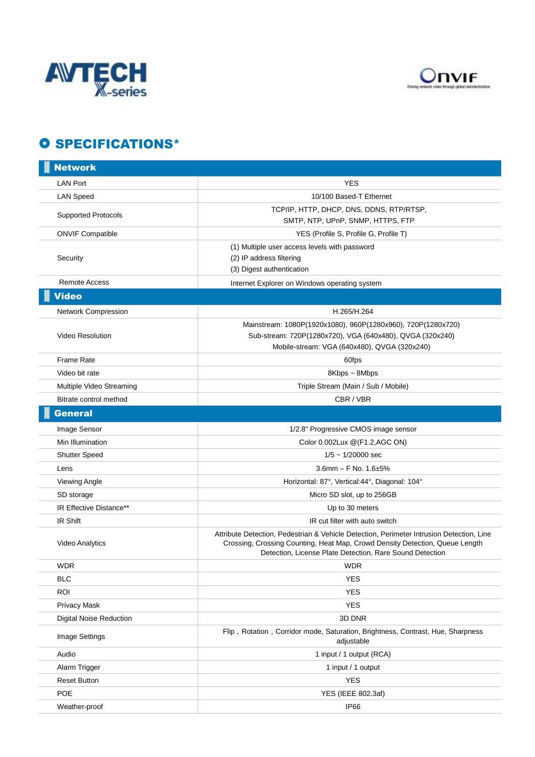



### **O SPECIFICATIONS\***

| <b>Network</b>                 |                                                                                                                                                                                                                                      |
|--------------------------------|--------------------------------------------------------------------------------------------------------------------------------------------------------------------------------------------------------------------------------------|
| <b>LAN Port</b>                | <b>YES</b>                                                                                                                                                                                                                           |
| <b>LAN Speed</b>               | 10/100 Based-T Ethernet                                                                                                                                                                                                              |
| <b>Supported Protocols</b>     | TCP/IP, HTTP, DHCP, DNS, DDNS, RTP/RTSP,<br>SMTP, NTP, UPnP, SNMP, HTTPS, FTP                                                                                                                                                        |
| <b>ONVIF Compatible</b>        | YES (Profile S, Profile G, Profile T)                                                                                                                                                                                                |
| Security                       | (1) Multiple user access levels with password<br>(2) IP address filtering<br>(3) Digest authentication                                                                                                                               |
| <b>Remote Access</b>           | Internet Explorer on Windows operating system                                                                                                                                                                                        |
| <b>Video</b>                   |                                                                                                                                                                                                                                      |
| Network Compression            | H.265/H.264                                                                                                                                                                                                                          |
| Video Resolution               | Mainstream: 1080P(1920x1080), 960P(1280x960), 720P(1280x720)<br>Sub-stream: 720P(1280x720), VGA (640x480), QVGA (320x240)<br>Mobile-stream: VGA (640x480), QVGA (320x240)                                                            |
| <b>Frame Rate</b>              | 60fps                                                                                                                                                                                                                                |
| Video bit rate                 | 8Kbps ~ 8Mbps                                                                                                                                                                                                                        |
| Multiple Video Streaming       | Triple Stream (Main / Sub / Mobile)                                                                                                                                                                                                  |
| Bitrate control method         | CBR / VBR                                                                                                                                                                                                                            |
| <b>General</b>                 |                                                                                                                                                                                                                                      |
| Image Sensor                   | 1/2.8" Progressive CMOS image sensor                                                                                                                                                                                                 |
| Min Illumination               | Color 0.002Lux @(F1.2,AGC ON)                                                                                                                                                                                                        |
| <b>Shutter Speed</b>           | $1/5 \sim 1/20000$ sec                                                                                                                                                                                                               |
| Lens                           | 3.6mm $-$ F No. 1.6 $\pm$ 5%                                                                                                                                                                                                         |
| Viewing Angle                  | Horizontal: 87°, Vertical:44°, Diagonal: 104°                                                                                                                                                                                        |
| SD storage                     | Micro SD slot, up to 256GB                                                                                                                                                                                                           |
| IR Effective Distance**        | Up to 30 meters                                                                                                                                                                                                                      |
| IR Shift                       | IR cut filter with auto switch                                                                                                                                                                                                       |
| Video Analytics                | Attribute Detection, Pedestrian & Vehicle Detection, Perimeter Intrusion Detection, Line<br>Crossing, Crossing Counting, Heat Map, Crowd Density Detection, Queue Length<br>Detection, License Plate Detection, Rare Sound Detection |
| WDR                            | <b>WDR</b>                                                                                                                                                                                                                           |
| <b>BLC</b>                     | <b>YES</b>                                                                                                                                                                                                                           |
| <b>ROI</b>                     | YES                                                                                                                                                                                                                                  |
| Privacy Mask                   | <b>YES</b>                                                                                                                                                                                                                           |
| <b>Digital Noise Reduction</b> | 3D DNR                                                                                                                                                                                                                               |
| Image Settings                 | Flip, Rotation, Corridor mode, Saturation, Brightness, Contrast, Hue, Sharpness<br>adjustable                                                                                                                                        |
| Audio                          | 1 input / 1 output (RCA)                                                                                                                                                                                                             |
| Alarm Trigger                  | 1 input / 1 output                                                                                                                                                                                                                   |
| <b>Reset Button</b>            | <b>YES</b>                                                                                                                                                                                                                           |
| POE                            | YES (IEEE 802.3af)                                                                                                                                                                                                                   |
| Weather-proof                  | IP66                                                                                                                                                                                                                                 |